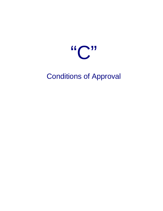

Conditions of Approval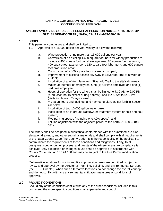## **PLANNING COMMISSION HEARING – AUGUST 3, 2016 CONDITIONS OF APPROVAL**

# **TAYLOR FAMILY VINEYARDS USE PERMIT APPLICATION NUMBER P15-00291-UP 5991 SILVERADO TRAIL, NAPA, CA, APN #039-040-016**

# **1.0 SCOPE**

This permit encompasses and shall be limited to:

- 1.1 Approval of a 15,000 gallon per year winery to allow the following:
	- a. Wine production of no more than 15,000 gallons per year;
	- b. Conversion of an existing 1,600 square foot barn for winery production to include a 400 square foot barrel storage area, 80 square foot restroom, 400 square foot tasting room, 120 square foot laboratory, and 600 square foot production area;
	- c. Construction of a 400 square foot covered crush pad;
	- d. Improvement of existing access driveway to Silverado Trail to a width of 20-feet;
	- e. Installation of a left-turn lane from Silverado Trail to the site's driveway;
	- f. Maximum number of employees: One (1) full time employee and one (1) part time employee;
	- g. Hours of operation for the winery shall be limited to 7:30 AM to 6:00 PM (production hours except during harvest), and 10:00 AM to 6:00 PM (visitation hours), 7-days a week;
	- h. Visitation, tours and tastings, and marketing plans as set forth in Section 4.0 below;
	- i. Installation of two 10,000 gallon water tanks;
	- j. Installation of an in-ground wastewater treatment system or hold and haul system;
	- k. Five parking spaces (including one ADA space); and
	- l. Lot line adjustment with the adjacent parcel to the north (APN 039-040- 031).

The winery shall be designed in substantial conformance with the submitted site plan, elevation drawings, and other submittal materials and shall comply with all requirements of the Napa County Code (the County Code). It is the responsibility of the applicant to communicate the requirements of these conditions and mitigations (if any) to all designers, contractors, employees, and guests of the winery to ensure compliance is achieved. Any expansion or changes in use shall be approved in accordance with County Code Section 18.124.130 and may be subject to the Use Permit modification process.

\*\*Alternative locations for spoils and fire suppression tanks are permitted, subject to review and approval by the Director of Planning, Building, and Environmental Services (the PBES Director), when such alternative locations do not change the overall concept, and do not conflict with any environmental mitigation measures or conditions of approval.

# **2.0 PROJECT CONDITIONS**

Should any of the conditions conflict with any of the other conditions included in this document, the more specific conditions shall supersede and control.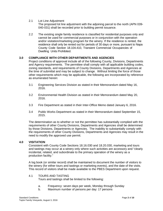2.1 Lot Line Adjustment

The proposed lot line adjustment with the adjoining parcel to the north (APN 039- 040-031) shall be recorded prior to building permit issuance.

2.2 The existing single family residence is classified for residential purposes only and cannot be used for commercial purposes or in conjunction with the operation and/or visitation/marketing program for the winery. If the residence is rented, the residence shall only be rented out for periods of 30 days or more, pursuant to Napa County Code Section 18.104.410, Transient Commercial Occupancies of Dwelling Units Prohibited.

### **3.0 COMPLIANCE WITH OTHER DEPARTMENTS AND AGENCIES**

Project conditions of approval include all of the following County, Divisions, Departments and Agency requirements. The permittee shall comply with all applicable building codes, zoning standards, and requirements of County Divisions, Departments and Agencies at the time of submittal and may be subject to change. Without limiting the force of those other requirements which may be applicable, the following are incorporated by reference as enumerated herein:

- 3.1 Engineering Services Division as stated in their Memorandum dated May 16, 2016.
- 3.2 Environmental Health Division as stated in their Memorandum dated May 20, 2016.
- 3.3 Fire Department as stated in their Inter-Office Memo dated January 6, 2016.
- 3.4 Public Works Department as stated in their Memorandum dated September 15, 2015.

The determination as to whether or not the permittee has substantially complied with the requirements of other County Divisions, Departments and Agencies shall be determined by those Divisions, Departments or Agencies. The inability to substantially comply with the requirements of other County Divisions, Departments and Agencies may result in the need to modify the approved use permit.

#### **4.0 VISITATION**

Consistent with County Code Sections 18.16.030 and 18.20.030, marketing and tours and tastings may occur at a winery only where such activities are accessory and "clearly incidental, related, and subordinate to the primary operation of the winery as a production facility."

A log book (or similar record) shall be maintained to document the number of visitors to the winery (for either tours and tastings or marketing events), and the date of the visits. This record of visitors shall be made available to the PBES Department upon request.

#### 4.1 TOURS AND TASTING

Tours and tastings shall be limited to the following:

- a. Frequency: seven days per week, Monday through Sunday
- b. Maximum number of persons per day: 17 persons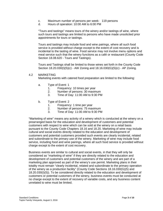- c. Maximum number of persons per week: 119 persons
- d. Hours of operation: 10:00 AM to 6:00 PM

"Tours and tastings" means tours of the winery and/or tastings of wine, where such tours and tastings are limited to persons who have made unsolicited prior appointments for tours or tastings.

Tours and tastings may include food and wine pairings, where all such food service is provided without charge except to the extent of cost recovery and is incidental to the tasting of wine. Food service may not involve menu options and meal service such that the winery functions as a café or restaurant (County Code Section 18.08.620 - Tours and Tastings).

Tours and Tastings shall be limited to those wines set forth in the County Code Section 18.20.030(I)(5)(c) - AW Zoning and 18.16.030(G)(5)(c) - AP Zoning.

### 4.2 MARKETING

Marketing events with catered food preparation are limited to the following:

- a. Type of Event: 1
	- 1. Frequency: 10 times per year
	- 2. Number of persons: 30 maximum
	- 3. Time of Day: 11:00 AM to 9:30 PM
- b. Type of Event: 2
	- 1. Frequency: 1 time per year
	- 2. Number of persons: 75 maximum
	- 3. Time of Day: 11:00 AM to 9:30 PM

"Marketing of wine" means any activity of a winery which is conducted at the winery on a prearranged basis for the education and development of customers and potential customers with respect to wine which can be sold at the winery on a retail basis pursuant to the County Code Chapters 18.16 and 18.20. Marketing of wine may include cultural and social events directly related to the education and development of customers and potential customers provided such events are clearly incidental, related and subordinate to the primary use of the winery. Marketing of wine may include food service, including food and wine pairings, where all such food service is provided without charge except to the extent of cost recovery.

Business events are similar to cultural and social events, in that they will only be considered as "marketing of wine" if they are directly related to the education and development of customers and potential customers of the winery and are part of a marketing plan approved as part of the winery's use permit. Marketing plans in their totality must remain "clearly incidental, related and subordinate to the primary operation of the winery as a production facility" (County Code Sections 18.16.030(G)(5) and 18.20.030(I)(5)). To be considered directly related to the education and development of customers or potential customers of the winery, business events must be conducted at no charge except to the extent of recovery of variable costs, and any business content unrelated to wine must be limited.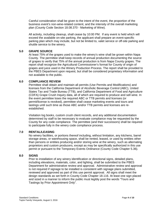Careful consideration shall be given to the intent of the event, the proportion of the business event's non-wine-related content, and the intensity of the overall marketing plan (County Code Section 18.08.370 - Marketing of Wine).

All activity, including cleanup, shall cease by 10:00 PM. If any event is held which will exceed the available on-site parking, the applicant shall prepare an event-specific parking plan which may include, but not be limited to, valet service or off-site parking and shuttle service to the winery.

## **5.0 GRAPE SOURCE**

At least 75% of the grapes used to make the winery's wine shall be grown within Napa County. The permittee shall keep records of annual production documenting the source of grapes to verify that 75% of the annual production is from Napa County grapes. The report shall recognize the Agricultural Commissioner's format for County of origin of grapes and juice used in the Winery Production Process. The report shall be provided to the PBES Department upon request, but shall be considered proprietary information and not available to the public.

### **6.0 COMPLIANCE REVIEW**

Permittee shall obtain and maintain all permits (Use Permits and Modifications) and licenses from the California Department of Alcoholic Beverage Control (ABC), United States Tax and Trade Bureau (TTB), and California Department of Food and Agriculture (CDFA) Grape Crush Inquiry data, all of which are required to produce and sell wine. In the event permittee loses the required ABC or TTB permits and licenses (or permit/license is revoked), permittee shall cease marketing events and tours and tastings until such time as those ABC and/or TTB permits and licenses are reestablished.

Visitation log books, custom crush client records, and any additional documentation determined by staff to be necessary to evaluate compliance may be requested by the County for any code compliance. The permittee (and their successors) shall be required to participate fully in the winery code compliance process.

## **7.0 RENTAL/LEASING**

No winery facilities, or portions thereof including, without limitation, any kitchens, barrel storage areas, or warehousing space, shall be rented, leased, or used by entities other than persons or entities producing and/or storing wine at the winery, such as alternating proprietors and custom producers, except as may be specifically authorized in this use permit or pursuant to the Temporary Events Ordinance (County Code Chapter 5.36).

#### **8.0 SIGNS**

Prior to installation of any winery identification or directional signs, detailed plans, including elevations, materials, color, and lighting, shall be submitted to the PBES Department for administrative review and approval. Administrative review and approval is not required if signage to be installed is consistent with signage plans submitted, reviewed and approved as part of this use permit approval. All signs shall meet the design standards as set forth in County Code Chapter 18.116. At least one sign placed and sized in a manner to inform the public must legibly post the words "Tours and Tastings by Prior Appointment Only".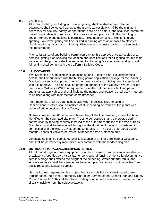### **9.0 LIGHTING**

All exterior lighting, including landscape lighting, shall be shielded and directed downward, shall be located as low to the ground as possible, shall be the minimum necessary for security, safety, or operations, shall be on timers, and shall incorporate the use of motion detection sensors to the greatest extent practical. No flood-lighting or sodium lighting of the building is permitted, including architectural highlighting and spotting. Low-level lighting shall be utilized in parking areas as opposed to elevated high-intensity light standards. Lighting utilized during harvest activities is not subject to this requirement.

Prior to issuance of any building permit pursuant to this approval, two (2) copies of a detailed lighting plan showing the location and specifications for all lighting fixtures to be installed on the property shall be submitted for Planning Division review and approval. All lighting shall comply with the California Building Code.

### **10.0 LANDSCAPING**

Two (2) copies of a detailed final landscaping and irrigation plan, including parking details, shall be submitted with the building permit application package for the Planning Division's review and approval prior to the issuance of any building permit associated with this approval. The plan shall be prepared pursuant to the County's Water Efficient Landscape Ordinance (WELO) requirements in effect at the time of building permit submittal, as applicable, and shall indicate the names and locations of all plant materials to be used along with their method of maintenance.

Plant materials shall be purchased locally when practical. The Agricultural Commissioner's office shall be notified of all impending deliveries of live plants with points of origin outside of Napa County.

No trees greater than 6" diameter at breast height shall be removed, except for those identified on the submitted site plan. Trees to be retained shall be protected during construction by fencing securely installed at the outer most dripline of the tree or trees. Such fencing shall be maintained throughout the duration of the work undertaken in connection with the winery development/construction. In no case shall construction material, debris or vehicles be stored in the fenced tree protection area.

Landscaping shall be completed prior to issuance of a Final Certificate of Occupancy, and shall be permanently maintained in accordance with the landscaping plan.

# **11.0 OUTDOOR STORAGE/SCREENING/UTILITIES**

All outdoor storage of winery equipment shall be screened from the view of residences of adjacent properties by a visual barrier consisting of fencing or dense landscaping. No item in storage shall exceed the height of the screening. Water and fuel tanks, and similar structures, shall be screened to the extent practical so as to not be visible from public roads and adjacent parcels.

New utility lines required for this project that are visible from any designated scenic transportation route (see Community Character Element of the General Plan and County Code Chapter 18.106) shall be placed underground or in an equivalent manner be made virtually invisible from the subject roadway.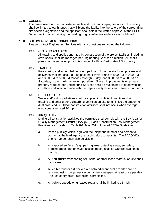# **12.0 COLORS**

The colors used for the roof, exterior walls and built landscaping features of the winery shall be limited to earth tones that will blend the facility into the colors of the surrounding site specific vegetation and the applicant shall obtain the written approval of the PBES Department prior to painting the building. Highly reflective surfaces are prohibited.

## **13.0 SITE IMPROVEMENT CONDITIONS**

Please contact Engineering Services with any questions regarding the following:

13.1 GRADING AND SPOILS

All grading and spoils generated by construction of the project facilities, including cave spoils, shall be managed per Engineering Services direction. All spoils piles shall be removed prior to issuance of a Final Certificate of Occupancy.

#### 13.2 TRAFFIC

Reoccurring and scheduled vehicle trips to and from the site for employees and deliveries shall not occur during peak hour travel times of 8:00 AM to 9:00 AM and 3:00 PM to 6:00 PM Monday through Friday, and 3:00 PM to 4:00 PM on Saturday, to the maximum extent possible. All road improvements on private property required per Engineering Services shall be maintained in good working condition and in accordance with the Napa County Roads and Streets Standards.

#### 13.3 DUST CONTROL

Water and/or dust palliatives shall be applied in sufficient quantities during grading and other ground disturbing activities on-site to minimize the amount of dust produced. Outdoor construction activities shall not occur when average wind speeds exceed 20 mph.

#### 13.4 AIR QUALITY

During all construction activities the permittee shall comply with the Bay Area Air Quality Management District (BAAQMD) Basic Construction Best Management Practices, as provided in Table 8-1, May 2011 Updated CEQA Guidelines:

- a. Post a publicly visible sign with the telephone number and person to contact at the lead agency regarding dust complaints. The BAAQMD's phone number shall also be visible.
- b. All exposed surfaces (e.g., parking areas, staging areas, soil piles, grading areas, and unpaved access roads) shall be watered two times per day.
- c. All haul trucks transporting soil, sand, or other loose material off-site shall be covered.
- d. All visible mud or dirt tracked out onto adjacent public roads shall be removed using wet power vacuum street sweepers at least once per day. The use of dry power sweeping is prohibited.
- e. All vehicle speeds on unpaved roads shall be limited to 15 mph.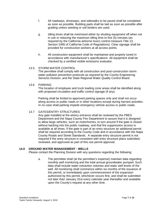- f. All roadways, driveways, and sidewalks to be paved shall be completed as soon as possible. Building pads shall be laid as soon as possible after grading unless seeding or soil binders are used.
- g. Idling times shall be minimized either by shutting equipment off when not in use or reducing the maximum idling time to five (5) minutes (as required by the California airborne toxics control measure Title 13, Section 2485 of California Code of Regulations). Clear signage shall be provided for construction workers at all access points.
- h. All construction equipment shall be maintained and properly tuned in accordance with manufacturer's specifications. All equipment shall be checked by a certified visible emissions evaluator.

# 13.5. STORM WATER CONTROL

The permittee shall comply with all construction and post-construction storm water pollution prevention protocols as required by the County Engineering Services Division, and the State Regional Water Quality Control Board.

### 13.6 PARKING

The location of employee and truck loading zone areas shall be identified along with proposed circulation and traffic control signage (if any).

Parking shall be limited to approved parking spaces only and shall not occur along access or public roads or in other locations except during harvest activities. In no case shall parking impede emergency vehicle access or public roads.

# 13.7 GATES/ENTRY STRUCTURES

Any gate installed at the winery entrance shall be reviewed by the PBES Department and the Napa County Fire Department to assure that it is designed to allow large vehicles, such as motorhomes, to turn around if the gate is closed without backing into the public roadway, and that fire suppression access is available at all times. If the gate is part of an entry structure an additional permit shall be required according to the County Code and in accordance with the Napa County Roads and Street Standards. A separate entry structure permit is not required if the entry structure is consistent with entry structure plans submitted, reviewed, and approved as part of this use permit approval.

# **14.0 GROUND WATER MANAGEMENT - WELLS**

Please contact the Planning Division with any questions regarding the following:

a. The permittee shall (at the permittee's expense) maintain data regarding monthly well monitoring and the total annual groundwater pumped. Such data shall include water extraction volumes and static well levels of the well. All monitoring shall commence within six months of the issuance of this permit, or immediately upon commencement of the expansion authorized by this permit, whichever occurs first, and shall be submitted not later than January 31st every calendar year thereafter and available upon the County's request at any other time.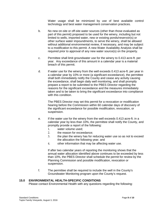Water usage shall be minimized by use of best available control technology and best water management conservation practices.

- b. No new on-site or off-site water sources (other than those evaluated as part of this permit) proposed to be used for the winery, including but not limited to wells, imported water, new or existing ponds/reservoir(s) or other surface water impoundments, to serve the winery, shall be allowed without additional environmental review, if necessary, and may be subject to a modification to this permit. A new Water Availability Analysis shall be required prior to approval of any new water source(s) on the property.
- c. Permittee shall limit groundwater use for the winery to 0.413 acre-ft. per year. Any exceedance of this amount in a calendar year is a material breach of this permit.
- d. If water use for the winery from the well exceeds 0.413 acre-ft. per year in a calendar year by 10% or more (a significant exceedance), the permittee shall both immediately notify the County and cease any activity causing the exceedance, shall begin daily well monitoring, and shall promptly prepare a report to be submitted to the PBES Director regarding the reasons for the significant exceedance and the measures immediately taken and to be taken to bring the significant exceedance into compliance with this condition.

The PBES Director may set this permit for a revocation or modification hearing before the Commission within 60 calendar days of discovery of the significant exceedance for possible modification, revocation, or suspension.

- e. If the water use for the winery from the well exceeds 0.413 acre-ft. in a calendar year by less than 10%, the permittee shall notify the County, and promptly provide a report of the following:
	- 1. water volume used;
	- 2. the reason for exceedance;
	- 3. the plan the winery has for reducing water use so as not to exceed the allocation the following year; and
	- 4. other information that may be affecting water use.

If after two calendar years of reporting the monitoring shows that the annual water allocation identified above continues to be exceeded by less than 10%, the PBES Director shall schedule the permit for review by the Planning Commission and possible modification, revocation or suspension.

f. The permittee shall be required to include the well in the County's Groundwater Monitoring program upon the County's request.

### **15.0 ENVIRONMENTAL HEALTH-SPECIFIC CONDITIONS**

Please contact Environmental Health with any questions regarding the following: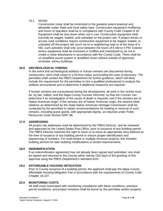## 15.1 NOISE

Construction noise shall be minimized to the greatest extent practical and allowable under State and local safety laws. Construction equipment mufflering and hours of operation shall be in compliance with County Code Chapter 8.16. Equipment shall be shut down when not in use. Construction equipment shall normally be staged, loaded, and unloaded on the project site. If project terrain or access road conditions require construction equipment to be staged, loaded, or unloaded off the project site (such as on a neighboring road or at the base of a hill), such activities shall only occur between the hours of 8 AM to 5 PM. Exterior winery equipment shall be enclosed or muffled and maintained so as not to create a noise disturbance in accordance with the County Code. There shall be no amplified sound system or amplified music utilized outside of approved, enclosed, winery buildings.

# **16.0 ARCHEOLOGICAL FINDING**

In the event that archeological artifacts or human remains are discovered during construction, work shall cease in a 50-foot radius surrounding the area of discovery. The permittee shall contact the PBES Department for further guidance, which will likely include the requirement for the permittee to hire a qualified professional to analyze the artifacts encountered and to determine if additional measures are required.

If human remains are encountered during the development, all work in the vicinity must be, by law, halted, and the Napa County Coroner informed, so that the Coroner can determine if an investigation of the cause of death is required, and if the remains are of Native American origin. If the remains are of Native American origin, the nearest tribal relatives as determined by the State Native American Heritage Commission shall be contacted by the permittee to obtain recommendations for treating or removal of such remains, including grave goods, with appropriate dignity, as required under Public Resources Code Section 5097.98.

#### **17.0 ADDRESSING**

All project site addresses shall be determined by the PBES Director, and be reviewed and approved by the United States Post Office, prior to issuance of any building permit. The PBES Director reserves the right to issue or re-issue an appropriate situs address at the time of issuance of any building permit to ensure proper identification and sequencing of numbers. For multi-tenant or multiple structure projects, this includes building permits for later building modifications or tenant improvements.

#### **18.0 INDEMNIFICATION**

If an indemnification agreement has not already been signed and submitted, one shall be signed and returned to the County within twenty (20) days of the granting of this approval using the PBES Department's standard form.

### **19.0 AFFORDABLE HOUSING MITIGATION**

Prior to County issuance of a building permit, the applicant shall pay the Napa County Affordable Housing Mitigation Fee in accordance with the requirements of County Code Chapter 18.107.

#### **20.0 MONITORING COSTS**

All staff costs associated with monitoring compliance with these conditions, previous permit conditions, and project revisions shall be borne by the permittee and/or property